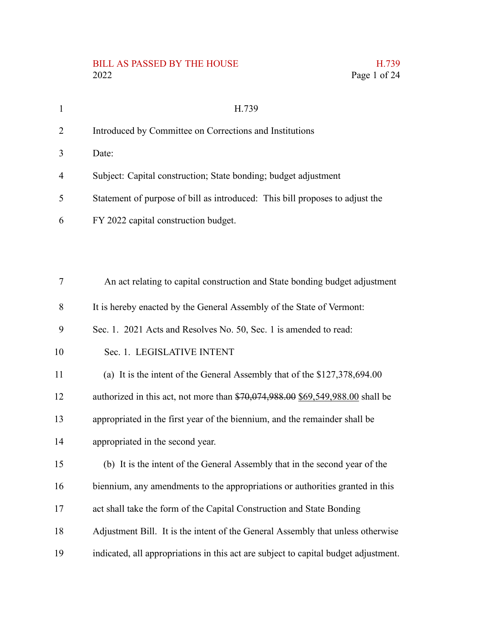# BILL AS PASSED BY THE HOUSE H.739<br>2022 Page 1 of 24

1

2

3

4

5

6

| 2022                                                                         | Page 1 of 24 |
|------------------------------------------------------------------------------|--------------|
| H.739                                                                        |              |
| Introduced by Committee on Corrections and Institutions                      |              |
| Date:                                                                        |              |
| Subject: Capital construction; State bonding; budget adjustment              |              |
| Statement of purpose of bill as introduced: This bill proposes to adjust the |              |
| FY 2022 capital construction budget.                                         |              |
|                                                                              |              |

| $\tau$ | An act relating to capital construction and State bonding budget adjustment         |
|--------|-------------------------------------------------------------------------------------|
| 8      | It is hereby enacted by the General Assembly of the State of Vermont:               |
| 9      | Sec. 1. 2021 Acts and Resolves No. 50, Sec. 1 is amended to read:                   |
| 10     | Sec. 1. LEGISLATIVE INTENT                                                          |
| 11     | (a) It is the intent of the General Assembly that of the \$127,378,694.00           |
| 12     | authorized in this act, not more than $$70,074,988.00$ \$69,549,988.00 shall be     |
| 13     | appropriated in the first year of the biennium, and the remainder shall be          |
| 14     | appropriated in the second year.                                                    |
| 15     | (b) It is the intent of the General Assembly that in the second year of the         |
| 16     | biennium, any amendments to the appropriations or authorities granted in this       |
| 17     | act shall take the form of the Capital Construction and State Bonding               |
| 18     | Adjustment Bill. It is the intent of the General Assembly that unless otherwise     |
| 19     | indicated, all appropriations in this act are subject to capital budget adjustment. |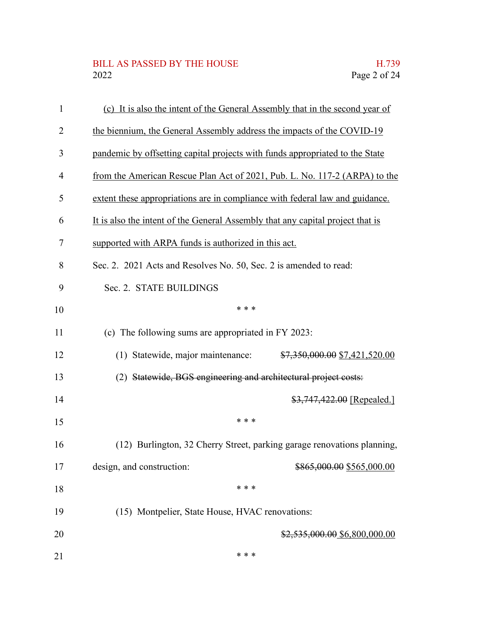# BILL AS PASSED BY THE HOUSE H.739<br>2022 Page 2 of 24

| $\mathbf{1}$ | (c) It is also the intent of the General Assembly that in the second year of   |  |
|--------------|--------------------------------------------------------------------------------|--|
| 2            | the biennium, the General Assembly address the impacts of the COVID-19         |  |
| 3            | pandemic by offsetting capital projects with funds appropriated to the State   |  |
| 4            | from the American Rescue Plan Act of 2021, Pub. L. No. 117-2 (ARPA) to the     |  |
| 5            | extent these appropriations are in compliance with federal law and guidance.   |  |
| 6            | It is also the intent of the General Assembly that any capital project that is |  |
| 7            | supported with ARPA funds is authorized in this act.                           |  |
| 8            | Sec. 2. 2021 Acts and Resolves No. 50, Sec. 2 is amended to read:              |  |
| 9            | Sec. 2. STATE BUILDINGS                                                        |  |
| 10           | * * *                                                                          |  |
| 11           | (c) The following sums are appropriated in FY 2023:                            |  |
| 12           | (1) Statewide, major maintenance:<br>\$7,350,000.00 \$7,421,520.00             |  |
| 13           | (2) Statewide, BGS engineering and architectural project costs:                |  |
| 14           | $$3,747,422.00$ [Repealed.]                                                    |  |
| 15           | * * *                                                                          |  |
| 16           | (12) Burlington, 32 Cherry Street, parking garage renovations planning,        |  |
| 17           | design, and construction:<br>\$865,000.00 \$565,000.00                         |  |
| 18           | * * *                                                                          |  |
| 19           | (15) Montpelier, State House, HVAC renovations:                                |  |
| 20           | $$2,535,000.00$$ \$6,800,000.00                                                |  |
| 21           | * * *                                                                          |  |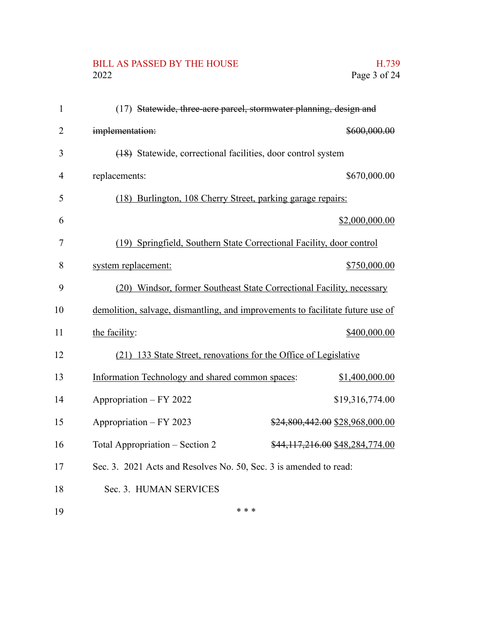## BILL AS PASSED BY THE HOUSE H.739<br>2022 Page 3 of 24

| $\mathbf{1}$   | (17) Statewide, three-acre parcel, stormwater planning, design and             |
|----------------|--------------------------------------------------------------------------------|
| $\overline{2}$ | \$600,000.00<br>implementation:                                                |
| 3              | (18) Statewide, correctional facilities, door control system                   |
| $\overline{4}$ | \$670,000.00<br>replacements:                                                  |
| 5              | (18) Burlington, 108 Cherry Street, parking garage repairs:                    |
| 6              | \$2,000,000.00                                                                 |
| 7              | (19) Springfield, Southern State Correctional Facility, door control           |
| 8              | \$750,000.00<br>system replacement:                                            |
| 9              | (20) Windsor, former Southeast State Correctional Facility, necessary          |
| 10             | demolition, salvage, dismantling, and improvements to facilitate future use of |
| 11             | \$400,000.00<br>the facility:                                                  |
| 12             | (21) 133 State Street, renovations for the Office of Legislative               |
| 13             | Information Technology and shared common spaces:<br>\$1,400,000.00             |
| 14             | Appropriation - FY 2022<br>\$19,316,774.00                                     |
| 15             | Appropriation - FY 2023<br>\$24,800,442.00 \$28,968,000.00                     |
| 16             | Total Appropriation – Section 2<br>\$44,117,216.00 \$48,284,774.00             |
| 17             | Sec. 3. 2021 Acts and Resolves No. 50, Sec. 3 is amended to read:              |
| 18             | Sec. 3. HUMAN SERVICES                                                         |
| 19             | * * *                                                                          |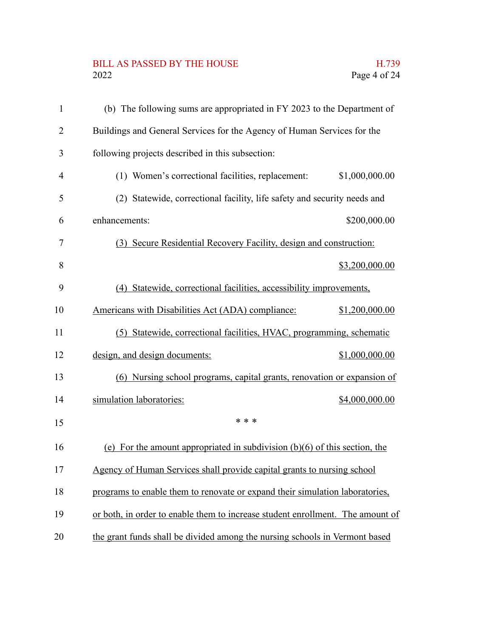# BILL AS PASSED BY THE HOUSE H.739<br>2022 Page 4 of 24

| $\mathbf{1}$   | (b) The following sums are appropriated in FY 2023 to the Department of        |                |
|----------------|--------------------------------------------------------------------------------|----------------|
| $\overline{2}$ | Buildings and General Services for the Agency of Human Services for the        |                |
| 3              | following projects described in this subsection:                               |                |
| $\overline{4}$ | (1) Women's correctional facilities, replacement:                              | \$1,000,000.00 |
| 5              | (2) Statewide, correctional facility, life safety and security needs and       |                |
| 6              | enhancements:                                                                  | \$200,000.00   |
| 7              | (3) Secure Residential Recovery Facility, design and construction:             |                |
| 8              |                                                                                | \$3,200,000.00 |
| 9              | Statewide, correctional facilities, accessibility improvements,<br>(4)         |                |
| 10             | Americans with Disabilities Act (ADA) compliance:                              | \$1,200,000.00 |
| 11             | (5) Statewide, correctional facilities, HVAC, programming, schematic           |                |
| 12             | design, and design documents:                                                  | \$1,000,000.00 |
| 13             | (6) Nursing school programs, capital grants, renovation or expansion of        |                |
| 14             | simulation laboratories:                                                       | \$4,000,000.00 |
| 15             | * * *                                                                          |                |
| 16             | (e) For the amount appropriated in subdivision $(b)(6)$ of this section, the   |                |
| 17             | Agency of Human Services shall provide capital grants to nursing school        |                |
| 18             | programs to enable them to renovate or expand their simulation laboratories,   |                |
| 19             | or both, in order to enable them to increase student enrollment. The amount of |                |
| 20             | the grant funds shall be divided among the nursing schools in Vermont based    |                |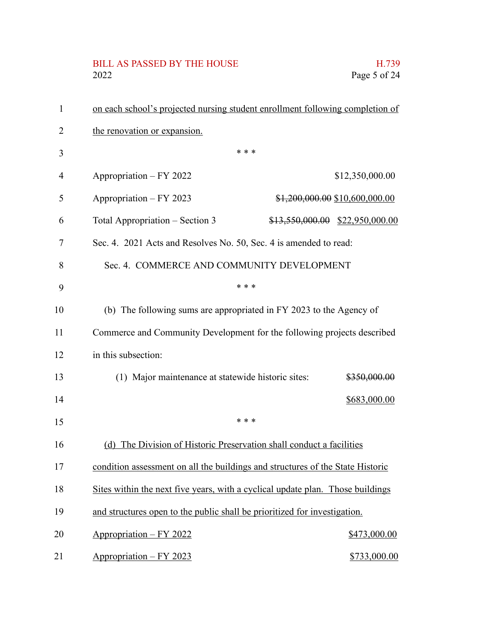# BILL AS PASSED BY THE HOUSE H.739<br>2022 Page 5 of 24

| 1  | on each school's projected nursing student enrollment following completion of  |       |                                   |
|----|--------------------------------------------------------------------------------|-------|-----------------------------------|
| 2  | the renovation or expansion.                                                   |       |                                   |
| 3  |                                                                                | * * * |                                   |
| 4  | Appropriation - FY 2022                                                        |       | \$12,350,000.00                   |
| 5  | Appropriation - FY 2023                                                        |       | \$1,200,000.00 \$10,600,000.00    |
| 6  | Total Appropriation – Section 3                                                |       | $$13,550,000.00$ $$22,950,000.00$ |
| 7  | Sec. 4. 2021 Acts and Resolves No. 50, Sec. 4 is amended to read:              |       |                                   |
| 8  | Sec. 4. COMMERCE AND COMMUNITY DEVELOPMENT                                     |       |                                   |
| 9  |                                                                                | * * * |                                   |
| 10 | (b) The following sums are appropriated in FY 2023 to the Agency of            |       |                                   |
| 11 | Commerce and Community Development for the following projects described        |       |                                   |
| 12 | in this subsection:                                                            |       |                                   |
| 13 | (1) Major maintenance at statewide historic sites:                             |       | \$350,000.00                      |
| 14 |                                                                                |       | \$683,000.00                      |
| 15 |                                                                                | * * * |                                   |
| 16 | (d) The Division of Historic Preservation shall conduct a facilities           |       |                                   |
| 17 | condition assessment on all the buildings and structures of the State Historic |       |                                   |
| 18 | Sites within the next five years, with a cyclical update plan. Those buildings |       |                                   |
| 19 | and structures open to the public shall be prioritized for investigation.      |       |                                   |
| 20 | Appropriation - FY 2022                                                        |       | \$473,000.00                      |
| 21 | Appropriation - FY 2023                                                        |       | \$733,000.00                      |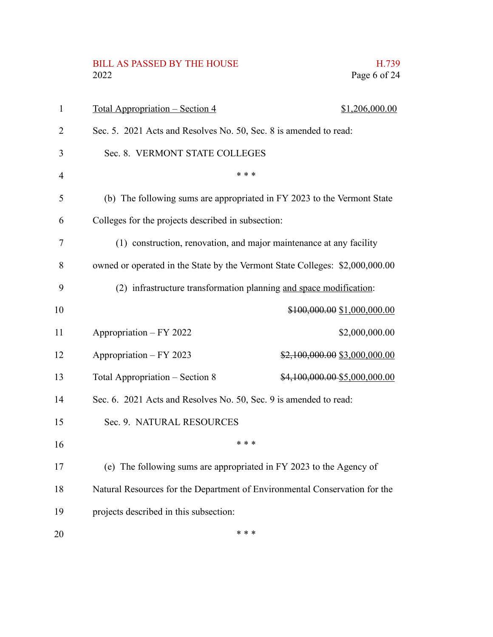#### BILL AS PASSED BY THE HOUSE 2022 2022 Page 6 of 24

|              |  | H.739 |
|--------------|--|-------|
| Page 6 of 24 |  |       |

| 1  | <u> Total Appropriation – Section 4</u><br>\$1,206,000.00                    |  |
|----|------------------------------------------------------------------------------|--|
| 2  | Sec. 5. 2021 Acts and Resolves No. 50, Sec. 8 is amended to read:            |  |
| 3  | Sec. 8. VERMONT STATE COLLEGES                                               |  |
| 4  | * * *                                                                        |  |
| 5  | (b) The following sums are appropriated in FY 2023 to the Vermont State      |  |
| 6  | Colleges for the projects described in subsection:                           |  |
| 7  | (1) construction, renovation, and major maintenance at any facility          |  |
| 8  | owned or operated in the State by the Vermont State Colleges: \$2,000,000.00 |  |
| 9  | (2) infrastructure transformation planning and space modification:           |  |
| 10 | \$100,000.00 \$1,000,000.00                                                  |  |
| 11 | Appropriation - FY 2022<br>\$2,000,000.00                                    |  |
| 12 | Appropriation - FY 2023<br>\$2,100,000.00 \$3,000,000.00                     |  |
| 13 | Total Appropriation – Section 8<br>\$4,100,000.00-\$5,000,000.00             |  |
| 14 | Sec. 6. 2021 Acts and Resolves No. 50, Sec. 9 is amended to read:            |  |
| 15 | Sec. 9. NATURAL RESOURCES                                                    |  |
| 16 | * * *                                                                        |  |
| 17 | (e) The following sums are appropriated in FY 2023 to the Agency of          |  |
| 18 | Natural Resources for the Department of Environmental Conservation for the   |  |
| 19 | projects described in this subsection:                                       |  |
| 20 | * * *                                                                        |  |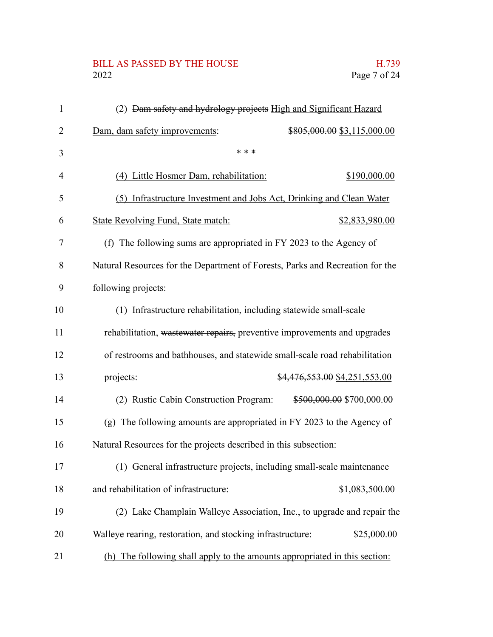# BILL AS PASSED BY THE HOUSE H.739<br>2022 Page 7 of 24

| $\mathbf{1}$   | (2) Dam safety and hydrology projects High and Significant Hazard             |
|----------------|-------------------------------------------------------------------------------|
| 2              | Dam, dam safety improvements:<br>\$805,000.00 \$3,115,000.00                  |
| 3              | * * *                                                                         |
| 4              | (4) Little Hosmer Dam, rehabilitation:<br>\$190,000.00                        |
| 5              | (5) Infrastructure Investment and Jobs Act, Drinking and Clean Water          |
| 6              | <b>State Revolving Fund, State match:</b><br>\$2,833,980.00                   |
| $\overline{7}$ | (f) The following sums are appropriated in FY 2023 to the Agency of           |
| 8              | Natural Resources for the Department of Forests, Parks and Recreation for the |
| 9              | following projects:                                                           |
| 10             | (1) Infrastructure rehabilitation, including statewide small-scale            |
| 11             | rehabilitation, wastewater repairs, preventive improvements and upgrades      |
| 12             | of restrooms and bathhouses, and statewide small-scale road rehabilitation    |
| 13             | projects:<br>\$4,476,553.00 \$4,251,553.00                                    |
| 14             | (2) Rustic Cabin Construction Program:<br>\$500,000.00 \$700,000.00           |
| 15             | (g) The following amounts are appropriated in FY 2023 to the Agency of        |
| 16             | Natural Resources for the projects described in this subsection:              |
| 17             | (1) General infrastructure projects, including small-scale maintenance        |
| 18             | and rehabilitation of infrastructure:<br>\$1,083,500.00                       |
| 19             | (2) Lake Champlain Walleye Association, Inc., to upgrade and repair the       |
| 20             | \$25,000.00<br>Walleye rearing, restoration, and stocking infrastructure:     |
| 21             | (h) The following shall apply to the amounts appropriated in this section:    |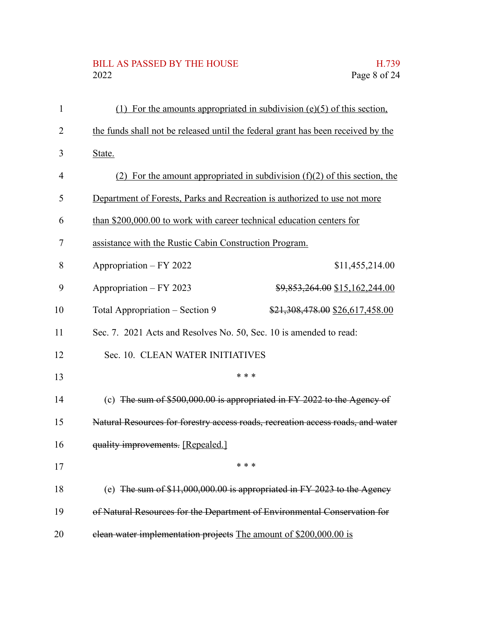# BILL AS PASSED BY THE HOUSE H.739<br>2022 Page 8 of 24

| $\mathbf{1}$ | (1) For the amounts appropriated in subdivision $(e)(5)$ of this section,        |                                                                          |  |
|--------------|----------------------------------------------------------------------------------|--------------------------------------------------------------------------|--|
| 2            | the funds shall not be released until the federal grant has been received by the |                                                                          |  |
| 3            | State.                                                                           |                                                                          |  |
| 4            | (2) For the amount appropriated in subdivision $(f)(2)$ of this section, the     |                                                                          |  |
| 5            | Department of Forests, Parks and Recreation is authorized to use not more        |                                                                          |  |
| 6            | than \$200,000.00 to work with career technical education centers for            |                                                                          |  |
| 7            | assistance with the Rustic Cabin Construction Program.                           |                                                                          |  |
| 8            | Appropriation - FY 2022                                                          | \$11,455,214.00                                                          |  |
| 9            | Appropriation - FY 2023                                                          | \$9,853,264.00 \$15,162,244.00                                           |  |
| 10           | Total Appropriation – Section 9                                                  | \$21,308,478.00 \$26,617,458.00                                          |  |
| 11           | Sec. 7. 2021 Acts and Resolves No. 50, Sec. 10 is amended to read:               |                                                                          |  |
| 12           | Sec. 10. CLEAN WATER INITIATIVES                                                 |                                                                          |  |
| 13           |                                                                                  | * * *                                                                    |  |
| 14           |                                                                                  | (c) The sum of $$500,000.00$ is appropriated in FY 2022 to the Agency of |  |
| 15           | Natural Resources for forestry access roads, recreation access roads, and water  |                                                                          |  |
| 16           | quality improvements. [Repealed.]                                                |                                                                          |  |
| 17           |                                                                                  |                                                                          |  |
| 18           |                                                                                  | (e) The sum of $$11,000,000.00$ is appropriated in FY 2023 to the Agency |  |
| 19           | of Natural Resources for the Department of Environmental Conservation for        |                                                                          |  |
| 20           | elean water implementation projects The amount of \$200,000.00 is                |                                                                          |  |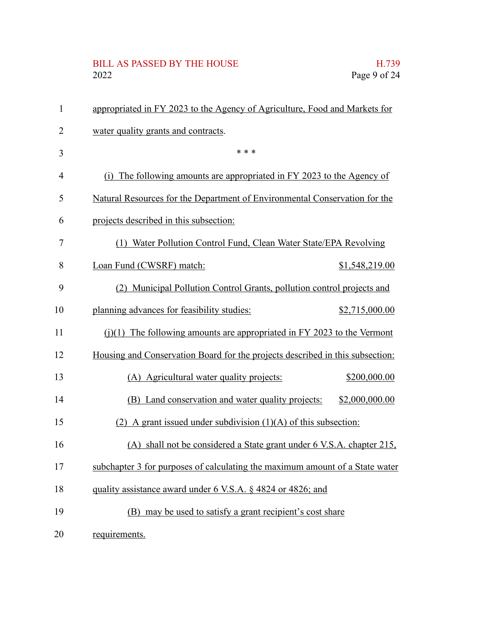# BILL AS PASSED BY THE HOUSE H.739<br>2022 Page 9 of 24

| $\mathbf{1}$   | appropriated in FY 2023 to the Agency of Agriculture, Food and Markets for    |                |
|----------------|-------------------------------------------------------------------------------|----------------|
| $\overline{2}$ | water quality grants and contracts.                                           |                |
| 3              | * * *                                                                         |                |
| 4              | (i) The following amounts are appropriated in FY 2023 to the Agency of        |                |
| 5              | Natural Resources for the Department of Environmental Conservation for the    |                |
| 6              | projects described in this subsection:                                        |                |
| 7              | Water Pollution Control Fund, Clean Water State/EPA Revolving<br>(1)          |                |
| 8              | Loan Fund (CWSRF) match:                                                      | \$1,548,219.00 |
| 9              | (2) Municipal Pollution Control Grants, pollution control projects and        |                |
| 10             | planning advances for feasibility studies:                                    | \$2,715,000.00 |
| 11             | $(i)(1)$ The following amounts are appropriated in FY 2023 to the Vermont     |                |
| 12             | Housing and Conservation Board for the projects described in this subsection: |                |
| 13             | (A) Agricultural water quality projects:                                      | \$200,000.00   |
| 14             | (B) Land conservation and water quality projects:                             | \$2,000,000.00 |
| 15             | (2) A grant issued under subdivision $(1)(A)$ of this subsection:             |                |
| 16             | (A) shall not be considered a State grant under 6 V.S.A. chapter 215,         |                |
| 17             | subchapter 3 for purposes of calculating the maximum amount of a State water  |                |
| 18             | quality assistance award under 6 V.S.A. § 4824 or 4826; and                   |                |
| 19             | (B) may be used to satisfy a grant recipient's cost share                     |                |
| 20             | requirements.                                                                 |                |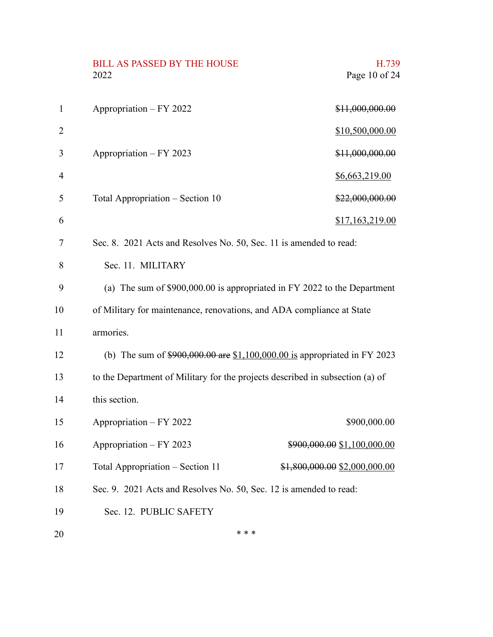|                | <b>BILL AS PASSED BY THE HOUSE</b><br>2022                                    | H.739<br>Page 10 of 24        |
|----------------|-------------------------------------------------------------------------------|-------------------------------|
| $\mathbf{1}$   | Appropriation - FY 2022                                                       | \$11,000,000.00               |
| $\overline{2}$ |                                                                               | \$10,500,000.00               |
| 3              | Appropriation - FY 2023                                                       | \$11,000,000.00               |
| $\overline{4}$ |                                                                               | \$6,663,219.00                |
| 5              | Total Appropriation – Section 10                                              | \$22,000,000.00               |
| 6              |                                                                               | \$17,163,219.00               |
| 7              | Sec. 8. 2021 Acts and Resolves No. 50, Sec. 11 is amended to read:            |                               |
| 8              | Sec. 11. MILITARY                                                             |                               |
| 9              | (a) The sum of \$900,000.00 is appropriated in FY 2022 to the Department      |                               |
| 10             | of Military for maintenance, renovations, and ADA compliance at State         |                               |
| 11             | armories.                                                                     |                               |
| 12             | (b) The sum of $$900,000.00$ are $$1,100,000.00$ is appropriated in FY 2023   |                               |
| 13             | to the Department of Military for the projects described in subsection (a) of |                               |
| 14             | this section.                                                                 |                               |
| 15             | Appropriation - FY 2022                                                       | \$900,000.00                  |
| 16             | Appropriation - FY 2023                                                       | \$900,000.00 \$1,100,000.00   |
| 17             | Total Appropriation - Section 11                                              | \$1,800,000.00 \$2,000,000.00 |
| 18             | Sec. 9. 2021 Acts and Resolves No. 50, Sec. 12 is amended to read:            |                               |
| 19             | Sec. 12. PUBLIC SAFETY                                                        |                               |
| 20             | * * *                                                                         |                               |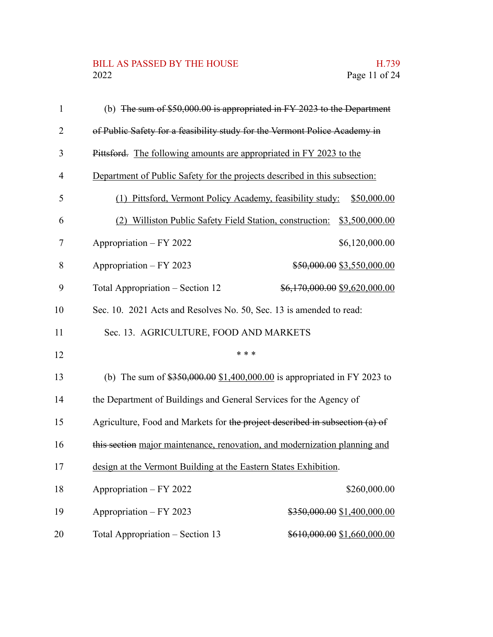## BILL AS PASSED BY THE HOUSE H.739<br>2022 Page 11 of 24

| $\mathbf{1}$   | (b) The sum of $$50,000.00$ is appropriated in FY 2023 to the Department      |
|----------------|-------------------------------------------------------------------------------|
| $\overline{2}$ | of Public Safety for a feasibility study for the Vermont Police Academy in    |
| 3              | Pittsford. The following amounts are appropriated in FY 2023 to the           |
| $\overline{4}$ | Department of Public Safety for the projects described in this subsection:    |
| 5              | (1) Pittsford, Vermont Policy Academy, feasibility study: \$50,000.00         |
| 6              | Williston Public Safety Field Station, construction:<br>\$3,500,000.00<br>(2) |
| 7              | Appropriation – FY 2022<br>\$6,120,000.00                                     |
| 8              | Appropriation - FY 2023<br>\$50,000.00 \$3,550,000.00                         |
| 9              | Total Appropriation – Section 12<br>\$6,170,000.00 \$9,620,000.00             |
| 10             | Sec. 10. 2021 Acts and Resolves No. 50, Sec. 13 is amended to read:           |
| 11             | Sec. 13. AGRICULTURE, FOOD AND MARKETS                                        |
| 12             | * * *                                                                         |
| 13             | (b) The sum of $$350,000.00$ $$1,400,000.00$ is appropriated in FY 2023 to    |
| 14             | the Department of Buildings and General Services for the Agency of            |
| 15             | Agriculture, Food and Markets for the project described in subsection (a) of  |
| 16             | this section major maintenance, renovation, and modernization planning and    |
| 17             | design at the Vermont Building at the Eastern States Exhibition.              |
| 18             | \$260,000.00<br>Appropriation - FY 2022                                       |
| 19             | Appropriation - FY 2023<br>\$350,000.00 \$1,400,000.00                        |
| 20             | Total Appropriation - Section 13<br>\$610,000.00 \$1,660,000.00               |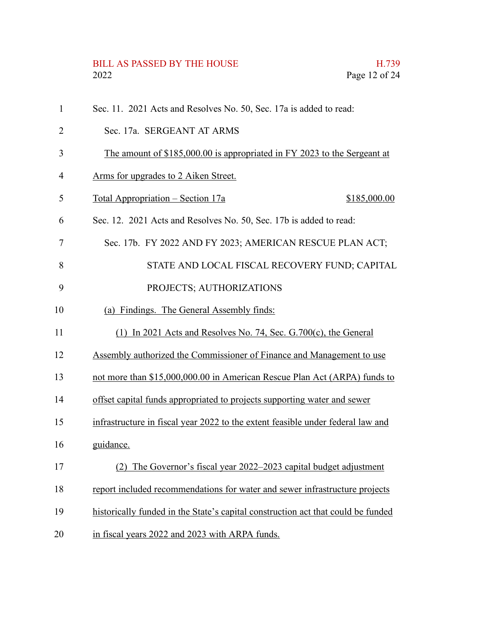# BILL AS PASSED BY THE HOUSE H.739<br>2022 Page 12 of 24

| $\mathbf{1}$ | Sec. 11. 2021 Acts and Resolves No. 50, Sec. 17a is added to read:               |
|--------------|----------------------------------------------------------------------------------|
| 2            | Sec. 17a. SERGEANT AT ARMS                                                       |
| 3            | The amount of \$185,000.00 is appropriated in FY 2023 to the Sergeant at         |
| 4            | Arms for upgrades to 2 Aiken Street.                                             |
| 5            | <u> Total Appropriation – Section 17a</u><br>\$185,000.00                        |
| 6            | Sec. 12. 2021 Acts and Resolves No. 50, Sec. 17b is added to read:               |
| 7            | Sec. 17b. FY 2022 AND FY 2023; AMERICAN RESCUE PLAN ACT;                         |
| 8            | STATE AND LOCAL FISCAL RECOVERY FUND; CAPITAL                                    |
| 9            | PROJECTS; AUTHORIZATIONS                                                         |
| 10           | (a) Findings. The General Assembly finds:                                        |
| 11           | (1) In 2021 Acts and Resolves No. 74, Sec. G.700 $(c)$ , the General             |
| 12           | Assembly authorized the Commissioner of Finance and Management to use            |
| 13           | not more than \$15,000,000.00 in American Rescue Plan Act (ARPA) funds to        |
| 14           | offset capital funds appropriated to projects supporting water and sewer         |
| 15           | infrastructure in fiscal year 2022 to the extent feasible under federal law and  |
| 16           | guidance.                                                                        |
| 17           | The Governor's fiscal year 2022–2023 capital budget adjustment<br>(2)            |
| 18           | report included recommendations for water and sewer infrastructure projects      |
| 19           | historically funded in the State's capital construction act that could be funded |
| 20           | in fiscal years 2022 and 2023 with ARPA funds.                                   |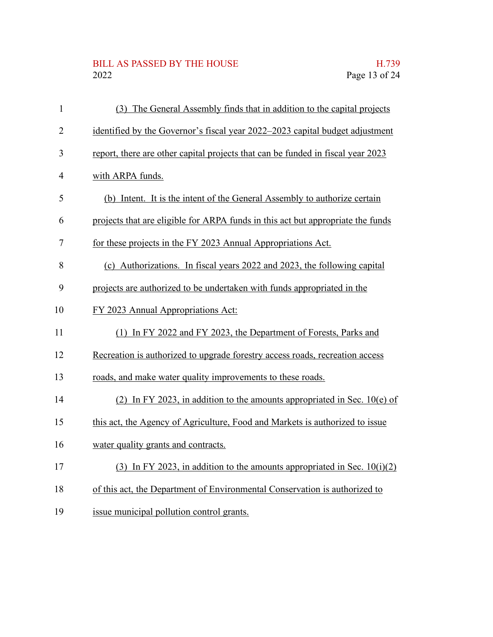# BILL AS PASSED BY THE HOUSE H.739<br>2022 Page 13 of 24

| $\mathbf{1}$   | (3) The General Assembly finds that in addition to the capital projects         |
|----------------|---------------------------------------------------------------------------------|
| $\overline{2}$ | identified by the Governor's fiscal year 2022–2023 capital budget adjustment    |
| 3              | report, there are other capital projects that can be funded in fiscal year 2023 |
| 4              | with ARPA funds.                                                                |
| 5              | (b) Intent. It is the intent of the General Assembly to authorize certain       |
| 6              | projects that are eligible for ARPA funds in this act but appropriate the funds |
| 7              | for these projects in the FY 2023 Annual Appropriations Act.                    |
| 8              | (c) Authorizations. In fiscal years 2022 and 2023, the following capital        |
| 9              | projects are authorized to be undertaken with funds appropriated in the         |
| 10             | FY 2023 Annual Appropriations Act:                                              |
| 11             | (1) In FY 2022 and FY 2023, the Department of Forests, Parks and                |
| 12             | Recreation is authorized to upgrade forestry access roads, recreation access    |
| 13             | roads, and make water quality improvements to these roads.                      |
| 14             | (2) In FY 2023, in addition to the amounts appropriated in Sec. $10(e)$ of      |
| 15             | this act, the Agency of Agriculture, Food and Markets is authorized to issue    |
| 16             | water quality grants and contracts.                                             |
| 17             | (3) In FY 2023, in addition to the amounts appropriated in Sec. $10(i)(2)$      |
| 18             | of this act, the Department of Environmental Conservation is authorized to      |
|                |                                                                                 |

issue municipal pollution control grants. 19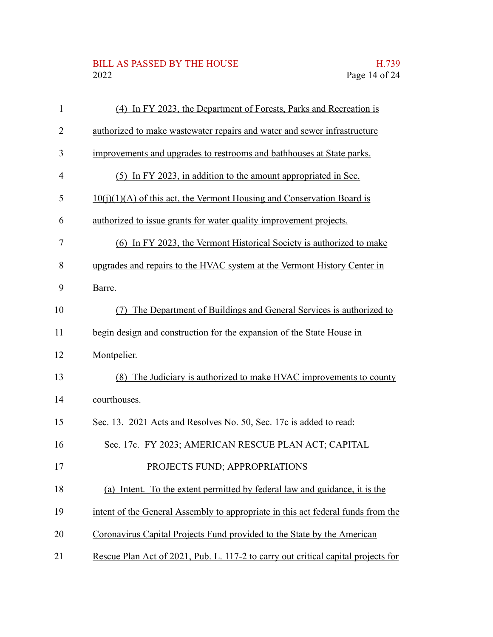## BILL AS PASSED BY THE HOUSE H.739<br>2022 Page 14 of 24

| 1              | (4) In FY 2023, the Department of Forests, Parks and Recreation is                |
|----------------|-----------------------------------------------------------------------------------|
| $\overline{2}$ | authorized to make wastewater repairs and water and sewer infrastructure          |
| 3              | improvements and upgrades to restrooms and bathhouses at State parks.             |
| $\overline{4}$ | (5) In FY 2023, in addition to the amount appropriated in Sec.                    |
| 5              | $10(i)(1)(A)$ of this act, the Vermont Housing and Conservation Board is          |
| 6              | authorized to issue grants for water quality improvement projects.                |
| 7              | (6) In FY 2023, the Vermont Historical Society is authorized to make              |
| 8              | upgrades and repairs to the HVAC system at the Vermont History Center in          |
| 9              | Barre.                                                                            |
| 10             | The Department of Buildings and General Services is authorized to<br>(7)          |
| 11             | begin design and construction for the expansion of the State House in             |
| 12             | Montpelier.                                                                       |
| 13             | (8) The Judiciary is authorized to make HVAC improvements to county               |
| 14             | courthouses.                                                                      |
| 15             | Sec. 13. 2021 Acts and Resolves No. 50, Sec. 17c is added to read:                |
| 16             | Sec. 17c. FY 2023; AMERICAN RESCUE PLAN ACT; CAPITAL                              |
| 17             | PROJECTS FUND; APPROPRIATIONS                                                     |
| 18             | (a) Intent. To the extent permitted by federal law and guidance, it is the        |
| 19             | intent of the General Assembly to appropriate in this act federal funds from the  |
| 20             | Coronavirus Capital Projects Fund provided to the State by the American           |
| 21             | Rescue Plan Act of 2021, Pub. L. 117-2 to carry out critical capital projects for |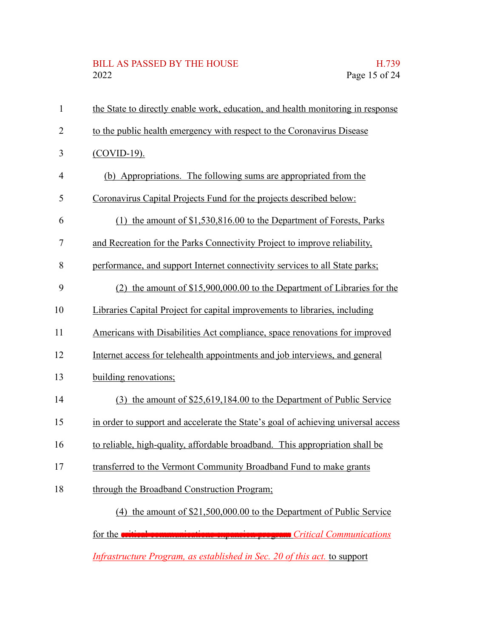# BILL AS PASSED BY THE HOUSE H.739<br>2022 Page 15 of 24

| $\mathbf{1}$   | the State to directly enable work, education, and health monitoring in response   |
|----------------|-----------------------------------------------------------------------------------|
| $\overline{2}$ | to the public health emergency with respect to the Coronavirus Disease            |
| 3              | $(COVID-19)$ .                                                                    |
| $\overline{4}$ | (b) Appropriations. The following sums are appropriated from the                  |
| 5              | Coronavirus Capital Projects Fund for the projects described below:               |
| 6              | (1) the amount of \$1,530,816.00 to the Department of Forests, Parks              |
| 7              | and Recreation for the Parks Connectivity Project to improve reliability,         |
| 8              | performance, and support Internet connectivity services to all State parks;       |
| 9              | (2) the amount of $$15,900,000.00$ to the Department of Libraries for the         |
| 10             | Libraries Capital Project for capital improvements to libraries, including        |
| 11             | Americans with Disabilities Act compliance, space renovations for improved        |
| 12             | Internet access for telehealth appointments and job interviews, and general       |
| 13             | building renovations;                                                             |
| 14             | (3) the amount of \$25,619,184.00 to the Department of Public Service             |
| 15             | in order to support and accelerate the State's goal of achieving universal access |
| 16             | to reliable, high-quality, affordable broadband. This appropriation shall be      |
| 17             | transferred to the Vermont Community Broadband Fund to make grants                |
| 18             | through the Broadband Construction Program;                                       |
|                | (4) the amount of \$21,500,000.00 to the Department of Public Service             |
|                | for the critical communications expansion program Critical Communications         |
|                | Infrastructure Program, as established in Sec. 20 of this act. to support         |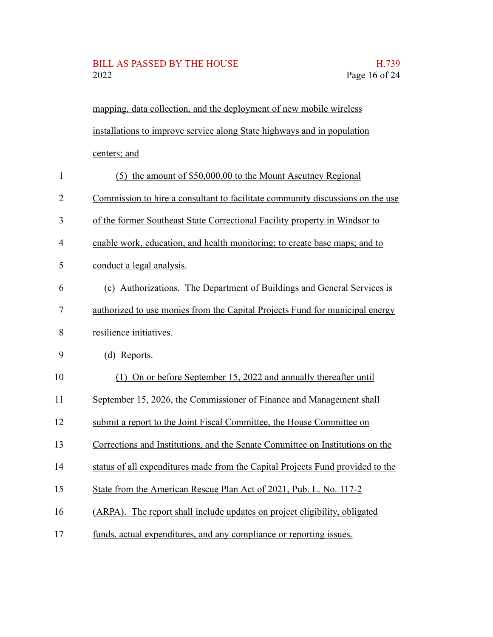#### BILL AS PASSED BY THE HOUSE H.739 2022 Page 16 of 24

mapping, data collection, and the deployment of new mobile wireless installations to improve service along State highways and in population centers; and

| $\mathbf{1}$   | (5) the amount of \$50,000.00 to the Mount Ascutney Regional                   |
|----------------|--------------------------------------------------------------------------------|
| $\overline{2}$ | Commission to hire a consultant to facilitate community discussions on the use |
| 3              | of the former Southeast State Correctional Facility property in Windsor to     |
| 4              | enable work, education, and health monitoring; to create base maps; and to     |
| 5              | conduct a legal analysis.                                                      |
| 6              | (c) Authorizations. The Department of Buildings and General Services is        |
| 7              | authorized to use monies from the Capital Projects Fund for municipal energy   |
| 8              | resilience initiatives.                                                        |
| 9              | (d) Reports.                                                                   |
| 10             | (1) On or before September 15, 2022 and annually thereafter until              |
| 11             | September 15, 2026, the Commissioner of Finance and Management shall           |
| 12             | submit a report to the Joint Fiscal Committee, the House Committee on          |
| 13             | Corrections and Institutions, and the Senate Committee on Institutions on the  |
| 14             | status of all expenditures made from the Capital Projects Fund provided to the |
| 15             | State from the American Rescue Plan Act of 2021, Pub. L. No. 117-2             |
| 16             | (ARPA). The report shall include updates on project eligibility, obligated     |
| 17             | funds, actual expenditures, and any compliance or reporting issues.            |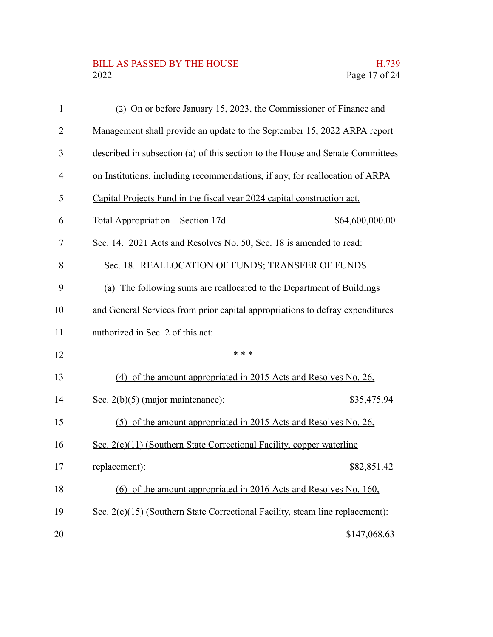# BILL AS PASSED BY THE HOUSE H.739<br>2022 Page 17 of 24

| $\mathbf{1}$   | (2) On or before January 15, 2023, the Commissioner of Finance and             |
|----------------|--------------------------------------------------------------------------------|
| 2              | Management shall provide an update to the September 15, 2022 ARPA report       |
| 3              | described in subsection (a) of this section to the House and Senate Committees |
| $\overline{4}$ | on Institutions, including recommendations, if any, for reallocation of ARPA   |
| 5              | Capital Projects Fund in the fiscal year 2024 capital construction act.        |
| 6              | <u> Total Appropriation – Section 17d</u><br>\$64,600,000.00                   |
| $\overline{7}$ | Sec. 14. 2021 Acts and Resolves No. 50, Sec. 18 is amended to read:            |
| 8              | Sec. 18. REALLOCATION OF FUNDS; TRANSFER OF FUNDS                              |
| 9              | (a) The following sums are reallocated to the Department of Buildings          |
| 10             | and General Services from prior capital appropriations to defray expenditures  |
| 11             | authorized in Sec. 2 of this act:                                              |
| 12             | * * *                                                                          |
| 13             | (4) of the amount appropriated in 2015 Acts and Resolves No. 26,               |
| 14             | Sec. $2(b)(5)$ (major maintenance):<br>\$35,475.94                             |
| 15             | (5) of the amount appropriated in 2015 Acts and Resolves No. 26,               |
| 16             | Sec. 2(c)(11) (Southern State Correctional Facility, copper waterline          |
| 17             | replacement):<br>\$82,851.42                                                   |
| 18             | (6) of the amount appropriated in 2016 Acts and Resolves No. 160,              |
| 19             | Sec. 2(c)(15) (Southern State Correctional Facility, steam line replacement):  |
| 20             | \$147,068.63                                                                   |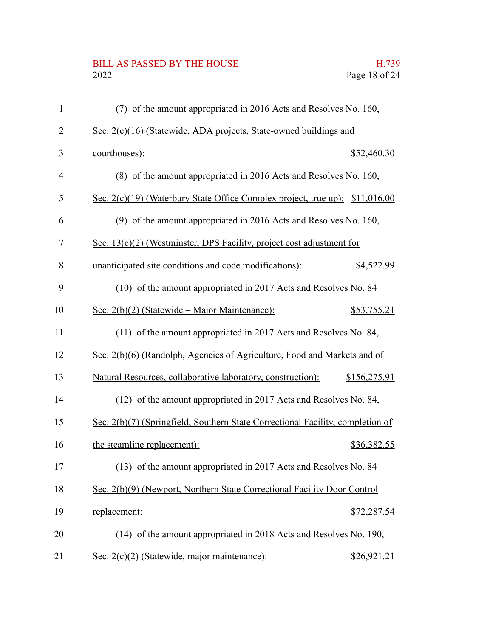# BILL AS PASSED BY THE HOUSE H.739<br>2022 Page 18 of 24

| $\mathbf{1}$   | (7) of the amount appropriated in 2016 Acts and Resolves No. 160,              |              |
|----------------|--------------------------------------------------------------------------------|--------------|
| $\overline{2}$ | Sec. 2(c)(16) (Statewide, ADA projects, State-owned buildings and              |              |
| 3              | courthouses):                                                                  | \$52,460.30  |
| $\overline{4}$ | (8) of the amount appropriated in 2016 Acts and Resolves No. 160,              |              |
| 5              | Sec. 2(c)(19) (Waterbury State Office Complex project, true up): \$11,016.00   |              |
| 6              | (9) of the amount appropriated in 2016 Acts and Resolves No. 160,              |              |
| $\tau$         | Sec. $13(c)(2)$ (Westminster, DPS Facility, project cost adjustment for        |              |
| 8              | unanticipated site conditions and code modifications):                         | \$4,522.99   |
| 9              | (10) of the amount appropriated in 2017 Acts and Resolves No. 84               |              |
| 10             | Sec. $2(b)(2)$ (Statewide – Major Maintenance):                                | \$53,755.21  |
| 11             | (11) of the amount appropriated in 2017 Acts and Resolves No. 84,              |              |
| 12             | Sec. 2(b)(6) (Randolph, Agencies of Agriculture, Food and Markets and of       |              |
| 13             | Natural Resources, collaborative laboratory, construction):                    | \$156,275.91 |
| 14             | (12) of the amount appropriated in 2017 Acts and Resolves No. 84,              |              |
| 15             | Sec. 2(b)(7) (Springfield, Southern State Correctional Facility, completion of |              |
| 16             | the steamline replacement):                                                    | \$36,382.55  |
| 17             | (13) of the amount appropriated in 2017 Acts and Resolves No. 84               |              |
| 18             | Sec. 2(b)(9) (Newport, Northern State Correctional Facility Door Control       |              |
| 19             | replacement:                                                                   | \$72,287.54  |
| 20             | (14) of the amount appropriated in 2018 Acts and Resolves No. 190,             |              |
| 21             | Sec. 2(c)(2) (Statewide, major maintenance):                                   | \$26,921.21  |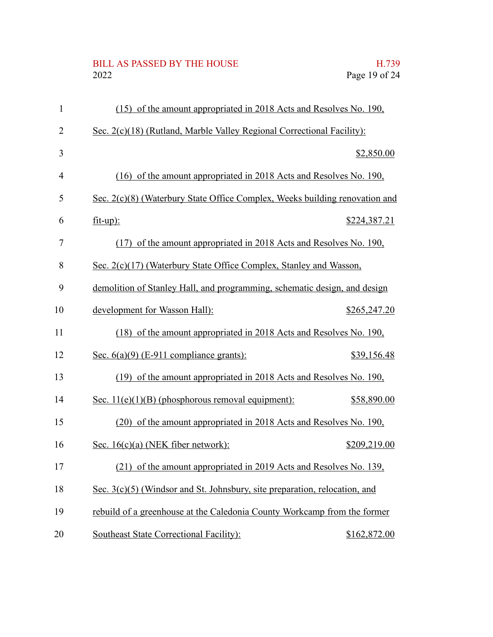# BILL AS PASSED BY THE HOUSE H.739<br>2022 Page 19 of 24

| $\mathbf{1}$   | (15) of the amount appropriated in 2018 Acts and Resolves No. 190,          |              |
|----------------|-----------------------------------------------------------------------------|--------------|
| $\overline{2}$ | Sec. 2(c)(18) (Rutland, Marble Valley Regional Correctional Facility):      |              |
| 3              |                                                                             | \$2,850.00   |
| $\overline{4}$ | (16) of the amount appropriated in 2018 Acts and Resolves No. 190,          |              |
| 5              | Sec. 2(c)(8) (Waterbury State Office Complex, Weeks building renovation and |              |
| 6              | $fit-up$ :                                                                  | \$224,387.21 |
| $\overline{7}$ | (17) of the amount appropriated in 2018 Acts and Resolves No. 190,          |              |
| 8              | Sec. 2(c)(17) (Waterbury State Office Complex, Stanley and Wasson,          |              |
| 9              | demolition of Stanley Hall, and programming, schematic design, and design   |              |
| 10             | development for Wasson Hall):                                               | \$265,247.20 |
| 11             | (18) of the amount appropriated in 2018 Acts and Resolves No. 190,          |              |
| 12             | Sec. $6(a)(9)$ (E-911 compliance grants):                                   | \$39,156.48  |
| 13             | (19) of the amount appropriated in 2018 Acts and Resolves No. 190,          |              |
| 14             | Sec. $11(e)(1)(B)$ (phosphorous removal equipment):                         | \$58,890.00  |
| 15             | (20) of the amount appropriated in 2018 Acts and Resolves No. 190,          |              |
| 16             | Sec. $16(c)(a)$ (NEK fiber network):                                        | \$209,219.00 |
| 17             | (21) of the amount appropriated in 2019 Acts and Resolves No. 139,          |              |
| 18             | Sec. 3(c)(5) (Windsor and St. Johnsbury, site preparation, relocation, and  |              |
| 19             | rebuild of a greenhouse at the Caledonia County Workcamp from the former    |              |
| 20             | Southeast State Correctional Facility):                                     | \$162,872.00 |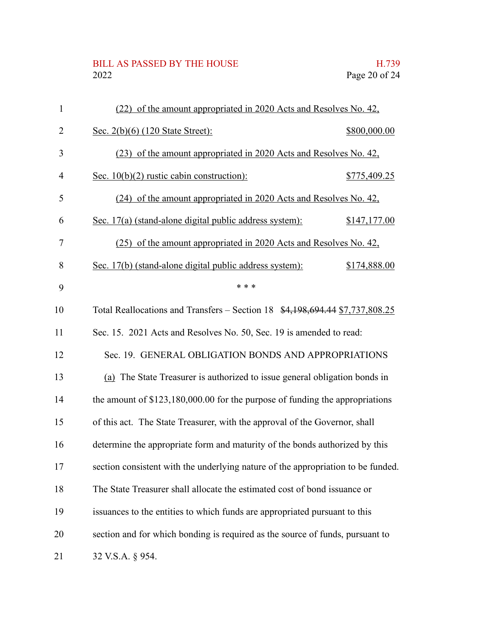## BILL AS PASSED BY THE HOUSE H.739<br>2022 Page 20 of 24

| $\mathbf{1}$   | (22) of the amount appropriated in 2020 Acts and Resolves No. 42,                |              |
|----------------|----------------------------------------------------------------------------------|--------------|
| 2              | Sec. 2(b)(6) (120 State Street):                                                 | \$800,000.00 |
| 3              | (23) of the amount appropriated in 2020 Acts and Resolves No. 42,                |              |
| $\overline{4}$ | Sec. $10(b)(2)$ rustic cabin construction):                                      | \$775,409.25 |
| 5              | (24) of the amount appropriated in 2020 Acts and Resolves No. 42,                |              |
| 6              | Sec. 17(a) (stand-alone digital public address system):                          | \$147,177.00 |
| 7              | (25) of the amount appropriated in 2020 Acts and Resolves No. 42,                |              |
| 8              | Sec. 17(b) (stand-alone digital public address system):                          | \$174,888.00 |
| 9              | * * *                                                                            |              |
| 10             | Total Reallocations and Transfers – Section 18 \$4,198,694.44 \$7,737,808.25     |              |
| 11             | Sec. 15. 2021 Acts and Resolves No. 50, Sec. 19 is amended to read:              |              |
| 12             | Sec. 19. GENERAL OBLIGATION BONDS AND APPROPRIATIONS                             |              |
| 13             | (a) The State Treasurer is authorized to issue general obligation bonds in       |              |
| 14             | the amount of $$123,180,000.00$ for the purpose of funding the appropriations    |              |
| 15             | of this act. The State Treasurer, with the approval of the Governor, shall       |              |
| 16             | determine the appropriate form and maturity of the bonds authorized by this      |              |
| 17             | section consistent with the underlying nature of the appropriation to be funded. |              |
| 18             | The State Treasurer shall allocate the estimated cost of bond issuance or        |              |
| 19             | issuances to the entities to which funds are appropriated pursuant to this       |              |
| 20             | section and for which bonding is required as the source of funds, pursuant to    |              |
| 21             | 32 V.S.A. § 954.                                                                 |              |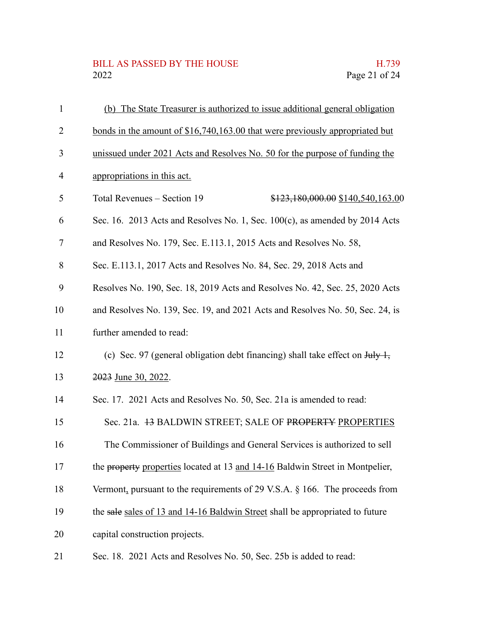## BILL AS PASSED BY THE HOUSE H.739<br>2022 Page 21 of 24

| $\mathbf{1}$   | (b) The State Treasurer is authorized to issue additional general obligation                     |
|----------------|--------------------------------------------------------------------------------------------------|
| $\overline{2}$ | bonds in the amount of \$16,740,163.00 that were previously appropriated but                     |
| 3              | unissued under 2021 Acts and Resolves No. 50 for the purpose of funding the                      |
| $\overline{4}$ | appropriations in this act.                                                                      |
| 5              | Total Revenues - Section 19<br>\$123,180,000.00 \$140,540,163.00                                 |
| 6              | Sec. 16. 2013 Acts and Resolves No. 1, Sec. $100(c)$ , as amended by 2014 Acts                   |
| 7              | and Resolves No. 179, Sec. E.113.1, 2015 Acts and Resolves No. 58,                               |
| 8              | Sec. E.113.1, 2017 Acts and Resolves No. 84, Sec. 29, 2018 Acts and                              |
| 9              | Resolves No. 190, Sec. 18, 2019 Acts and Resolves No. 42, Sec. 25, 2020 Acts                     |
| 10             | and Resolves No. 139, Sec. 19, and 2021 Acts and Resolves No. 50, Sec. 24, is                    |
| 11             | further amended to read:                                                                         |
| 12             | (c) Sec. 97 (general obligation debt financing) shall take effect on $J_{\text{t}}/J_{\text{t}}$ |
| 13             | 2023 June 30, 2022.                                                                              |
| 14             | Sec. 17. 2021 Acts and Resolves No. 50, Sec. 21a is amended to read:                             |
| 15             | Sec. 21a. 43 BALDWIN STREET; SALE OF PROPERTY PROPERTIES                                         |
| 16             | The Commissioner of Buildings and General Services is authorized to sell                         |
| 17             | the property properties located at 13 and 14-16 Baldwin Street in Montpelier,                    |
| 18             | Vermont, pursuant to the requirements of 29 V.S.A. $\S$ 166. The proceeds from                   |
| 19             | the sale sales of 13 and 14-16 Baldwin Street shall be appropriated to future                    |
| 20             | capital construction projects.                                                                   |
| 21             | Sec. 18. 2021 Acts and Resolves No. 50, Sec. 25b is added to read:                               |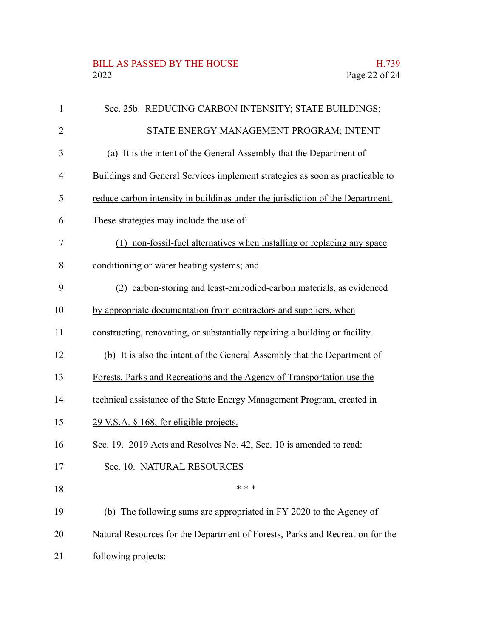#### BILL AS PASSED BY THE HOUSE H.739<br>2022 Page 22 of 24

| $\mathbf{1}$   | Sec. 25b. REDUCING CARBON INTENSITY; STATE BUILDINGS;                          |
|----------------|--------------------------------------------------------------------------------|
| $\overline{2}$ | STATE ENERGY MANAGEMENT PROGRAM; INTENT                                        |
| 3              | (a) It is the intent of the General Assembly that the Department of            |
| $\overline{4}$ | Buildings and General Services implement strategies as soon as practicable to  |
| 5              | reduce carbon intensity in buildings under the jurisdiction of the Department. |
| 6              | These strategies may include the use of:                                       |
| 7              | (1) non-fossil-fuel alternatives when installing or replacing any space        |
| 8              | conditioning or water heating systems; and                                     |
| 9              | carbon-storing and least-embodied-carbon materials, as evidenced<br>(2)        |
| 10             | by appropriate documentation from contractors and suppliers, when              |
| 11             | constructing, renovating, or substantially repairing a building or facility.   |
| 12             | (b) It is also the intent of the General Assembly that the Department of       |
| 13             | Forests, Parks and Recreations and the Agency of Transportation use the        |
| 14             | technical assistance of the State Energy Management Program, created in        |
| 15             | 29 V.S.A. § 168, for eligible projects.                                        |
| 16             | Sec. 19. 2019 Acts and Resolves No. 42, Sec. 10 is amended to read:            |
| 17             | Sec. 10. NATURAL RESOURCES                                                     |
| 18             | * * *                                                                          |
| 19             | (b) The following sums are appropriated in FY 2020 to the Agency of            |
| 20             | Natural Resources for the Department of Forests, Parks and Recreation for the  |
| 21             | following projects:                                                            |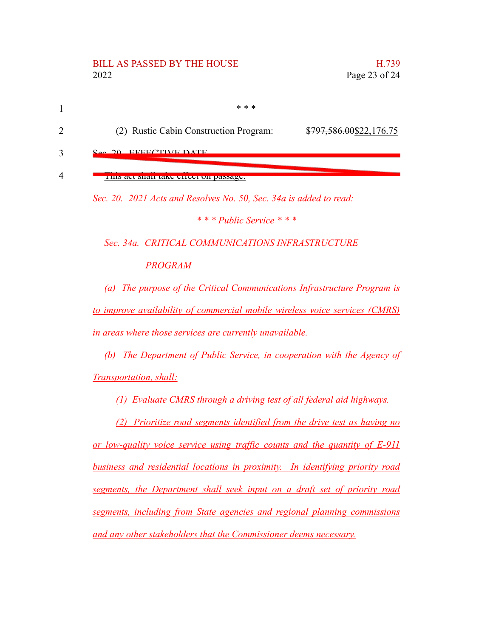#### BILL AS PASSED BY THE HOUSE THE HOUSE THE H.739 2022 Page 23 of 24

| * * *                                  |                         |
|----------------------------------------|-------------------------|
| (2) Rustic Cabin Construction Program: | \$797,586.00\$22,176.75 |

EFFECTIVE DATE 3

#### This act shall take effect on passage. 4

*Sec. 20. 2021 Acts and Resolves No. 50, Sec. 34a is added to read:*

*\* \* \* Public Service \* \* \**

*Sec. 34a. CRITICAL COMMUNICATIONS INFRASTRUCTURE*

*PROGRAM*

*(a) The purpose of the Critical Communications Infrastructure Program is to improve availability of commercial mobile wireless voice services (CMRS) in areas where those services are currently unavailable.*

*(b) The Department of Public Service, in cooperation with the Agency of Transportation, shall:*

*(1) Evaluate CMRS through a driving test of all federal aid highways.*

*(2) Prioritize road segments identified from the drive test as having no or low-quality voice service using traffic counts and the quantity of E-911 business and residential locations in proximity. In identifying priority road segments, the Department shall seek input on a draft set of priority road segments, including from State agencies and regional planning commissions and any other stakeholders that the Commissioner deems necessary.*